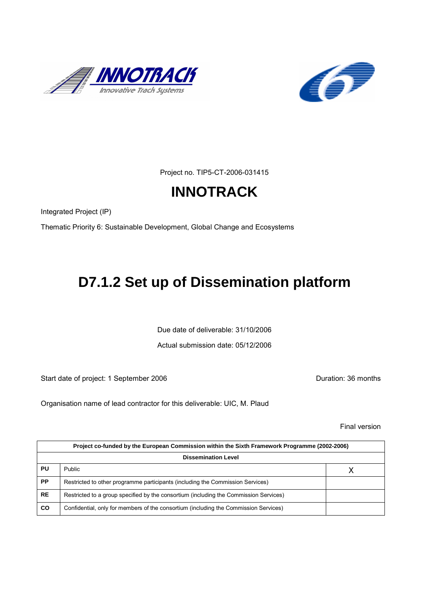



Project no. TIP5-CT-2006-031415

# **INNOTRACK**

Integrated Project (IP)

Thematic Priority 6: Sustainable Development, Global Change and Ecosystems

# **D7.1.2 Set up of Dissemination platform**

Due date of deliverable: 31/10/2006

Actual submission date: 05/12/2006

Start date of project: 1 September 2006 **Duration: 36 months** 

Organisation name of lead contractor for this deliverable: UIC, M. Plaud

Final version

| Project co-funded by the European Commission within the Sixth Framework Programme (2002-2006) |                                                                                       |   |  |  |
|-----------------------------------------------------------------------------------------------|---------------------------------------------------------------------------------------|---|--|--|
| <b>Dissemination Level</b>                                                                    |                                                                                       |   |  |  |
| PU                                                                                            | Public                                                                                | Χ |  |  |
| <b>PP</b>                                                                                     | Restricted to other programme participants (including the Commission Services)        |   |  |  |
| <b>RE</b>                                                                                     | Restricted to a group specified by the consortium (including the Commission Services) |   |  |  |
| CO                                                                                            | Confidential, only for members of the consortium (including the Commission Services)  |   |  |  |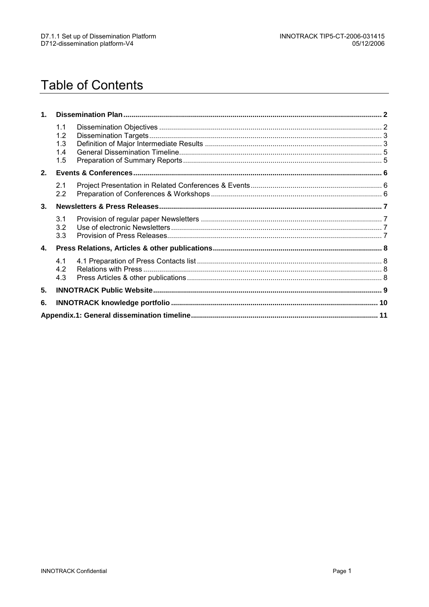# **Table of Contents**

| 1. |                                 |  |  |  |
|----|---------------------------------|--|--|--|
|    | 1.1<br>1.2<br>1.3<br>1.4<br>1.5 |  |  |  |
| 2. |                                 |  |  |  |
|    | 2.1<br>$2.2\phantom{0}$         |  |  |  |
| 3. |                                 |  |  |  |
|    | 3.1<br>3.2<br>3.3               |  |  |  |
| 4. |                                 |  |  |  |
|    | 4.1<br>4.2<br>4.3               |  |  |  |
| 5. |                                 |  |  |  |
| 6. |                                 |  |  |  |
|    |                                 |  |  |  |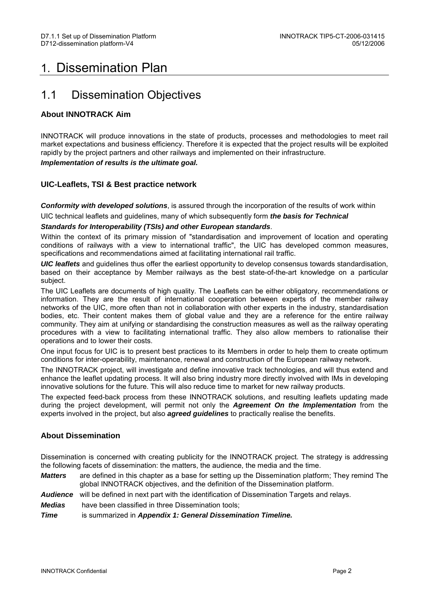## 1. Dissemination Plan

### 1.1 Dissemination Objectives

### **About INNOTRACK Aim**

INNOTRACK will produce innovations in the state of products, processes and methodologies to meet rail market expectations and business efficiency. Therefore it is expected that the project results will be exploited rapidly by the project partners and other railways and implemented on their infrastructure.

#### **Implementation of results is the ultimate goal.**

### **UIC-Leaflets, TSI & Best practice network**

**Conformity with developed solutions**, is assured through the incorporation of the results of work within UIC technical leaflets and guidelines, many of which subsequently form **the basis for Technical** 

#### **Standards for Interoperability (TSIs) and other European standards**.

Within the context of its primary mission of "standardisation and improvement of location and operating conditions of railways with a view to international traffic", the UIC has developed common measures, specifications and recommendations aimed at facilitating international rail traffic.

**UIC leaflets** and guidelines thus offer the earliest opportunity to develop consensus towards standardisation, based on their acceptance by Member railways as the best state-of-the-art knowledge on a particular subject.

The UIC Leaflets are documents of high quality. The Leaflets can be either obligatory, recommendations or information. They are the result of international cooperation between experts of the member railway networks of the UIC, more often than not in collaboration with other experts in the industry, standardisation bodies, etc. Their content makes them of global value and they are a reference for the entire railway community. They aim at unifying or standardising the construction measures as well as the railway operating procedures with a view to facilitating international traffic. They also allow members to rationalise their operations and to lower their costs.

One input focus for UIC is to present best practices to its Members in order to help them to create optimum conditions for inter-operability, maintenance, renewal and construction of the European railway network.

The INNOTRACK project, will investigate and define innovative track technologies, and will thus extend and enhance the leaflet updating process. It will also bring industry more directly involved with IMs in developing innovative solutions for the future. This will also reduce time to market for new railway products.

The expected feed-back process from these INNOTRACK solutions, and resulting leaflets updating made during the project development, will permit not only the **Agreement On the Implementation** from the experts involved in the project, but also **agreed guidelines** to practically realise the benefits.

### **About Dissemination**

Dissemination is concerned with creating publicity for the INNOTRACK project. The strategy is addressing the following facets of dissemination: the matters, the audience, the media and the time.

**Matters** are defined in this chapter as a base for setting up the Dissemination platform; They remind The global INNOTRACK objectives, and the definition of the Dissemination platform.

**Audience** will be defined in next part with the identification of Dissemination Targets and relays.

**Medias** have been classified in three Dissemination tools;

**Time** is summarized in **Appendix 1: General Dissemination Timeline.**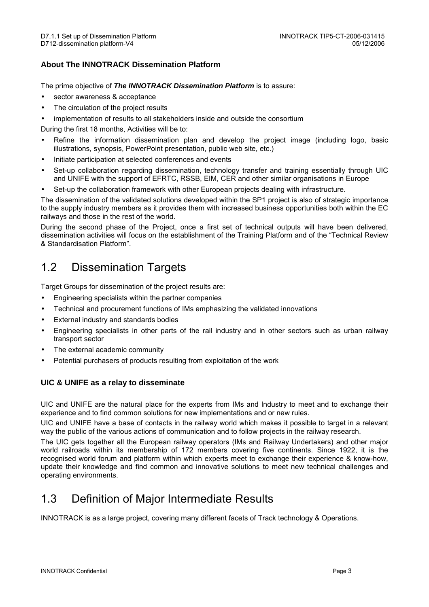### **About The INNOTRACK Dissemination Platform**

The prime objective of **The INNOTRACK Dissemination Platform** is to assure:

- sector awareness & acceptance
- The circulation of the project results
- implementation of results to all stakeholders inside and outside the consortium

During the first 18 months, Activities will be to:

- Refine the information dissemination plan and develop the project image (including logo, basic illustrations, synopsis, PowerPoint presentation, public web site, etc.)
- Initiate participation at selected conferences and events
- Set-up collaboration regarding dissemination, technology transfer and training essentially through UIC and UNIFE with the support of EFRTC, RSSB, EIM, CER and other similar organisations in Europe
- Set-up the collaboration framework with other European projects dealing with infrastructure.

The dissemination of the validated solutions developed within the SP1 project is also of strategic importance to the supply industry members as it provides them with increased business opportunities both within the EC railways and those in the rest of the world.

During the second phase of the Project, once a first set of technical outputs will have been delivered, dissemination activities will focus on the establishment of the Training Platform and of the "Technical Review & Standardisation Platform".

### 1.2 Dissemination Targets

Target Groups for dissemination of the project results are:

- Engineering specialists within the partner companies
- Technical and procurement functions of IMs emphasizing the validated innovations
- External industry and standards bodies
- Engineering specialists in other parts of the rail industry and in other sectors such as urban railway transport sector
- The external academic community
- Potential purchasers of products resulting from exploitation of the work

#### **UIC & UNIFE as a relay to disseminate**

UIC and UNIFE are the natural place for the experts from IMs and Industry to meet and to exchange their experience and to find common solutions for new implementations and or new rules.

UIC and UNIFE have a base of contacts in the railway world which makes it possible to target in a relevant way the public of the various actions of communication and to follow projects in the railway research.

The UIC gets together all the European railway operators (IMs and Railway Undertakers) and other major world railroads within its membership of 172 members covering five continents. Since 1922, it is the recognised world forum and platform within which experts meet to exchange their experience & know-how, update their knowledge and find common and innovative solutions to meet new technical challenges and operating environments.

### 1.3 Definition of Major Intermediate Results

INNOTRACK is as a large project, covering many different facets of Track technology & Operations.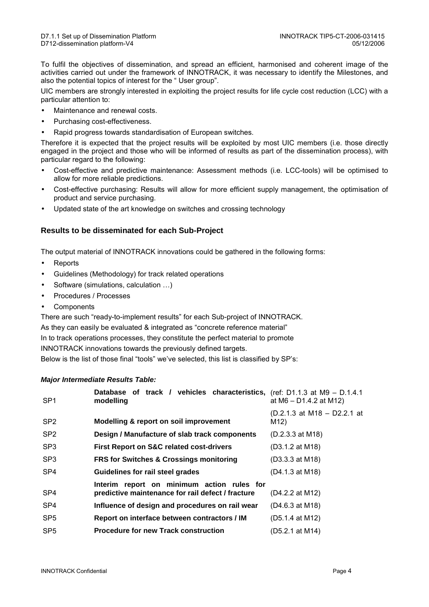To fulfil the objectives of dissemination, and spread an efficient, harmonised and coherent image of the activities carried out under the framework of INNOTRACK, it was necessary to identify the Milestones, and also the potential topics of interest for the " User group".

UIC members are strongly interested in exploiting the project results for life cycle cost reduction (LCC) with a particular attention to:

- Maintenance and renewal costs.
- Purchasing cost-effectiveness.
- Rapid progress towards standardisation of European switches.

Therefore it is expected that the project results will be exploited by most UIC members (i.e. those directly engaged in the project and those who will be informed of results as part of the dissemination process), with particular regard to the following:

- Cost-effective and predictive maintenance: Assessment methods (i.e. LCC-tools) will be optimised to allow for more reliable predictions.
- Cost-effective purchasing: Results will allow for more efficient supply management, the optimisation of product and service purchasing.
- Updated state of the art knowledge on switches and crossing technology

#### **Results to be disseminated for each Sub-Project**

The output material of INNOTRACK innovations could be gathered in the following forms:

- **Reports**
- Guidelines (Methodology) for track related operations
- Software (simulations, calculation …)
- Procedures / Processes
- **Components**

There are such "ready-to-implement results" for each Sub-project of INNOTRACK.

As they can easily be evaluated & integrated as "concrete reference material" In to track operations processes, they constitute the perfect material to promote INNOTRACK innovations towards the previously defined targets.

Below is the list of those final "tools" we've selected, this list is classified by SP's:

#### **Major Intermediate Results Table:**

| SP <sub>1</sub> | Database of track / vehicles characteristics, (ref: D1.1.3 at M9 - D.1.4.1<br>modelling         | at $M6 - D1.4.2$ at M12)            |
|-----------------|-------------------------------------------------------------------------------------------------|-------------------------------------|
| SP <sub>2</sub> | <b>Modelling &amp; report on soil improvement</b>                                               | (D.2.1.3 at M18 – D2.2.1 at<br>M12) |
| SP <sub>2</sub> | Design / Manufacture of slab track components                                                   | $(D.2.3.3$ at M18)                  |
| SP <sub>3</sub> | <b>First Report on S&amp;C related cost-drivers</b>                                             | (D3.1.2 at M18)                     |
| SP <sub>3</sub> | <b>FRS for Switches &amp; Crossings monitoring</b>                                              | (D3.3.3 at M18)                     |
| SP <sub>4</sub> | <b>Guidelines for rail steel grades</b>                                                         | (D4.1.3 at M18)                     |
| SP <sub>4</sub> | Interim report on minimum action rules for<br>predictive maintenance for rail defect / fracture | (D4.2.2 at M12)                     |
| SP <sub>4</sub> | Influence of design and procedures on rail wear                                                 | (D4.6.3 at M18)                     |
| SP <sub>5</sub> | Report on interface between contractors / IM                                                    | (D5.1.4 at M12)                     |
| SP <sub>5</sub> | <b>Procedure for new Track construction</b>                                                     | (D5.2.1 at M14)                     |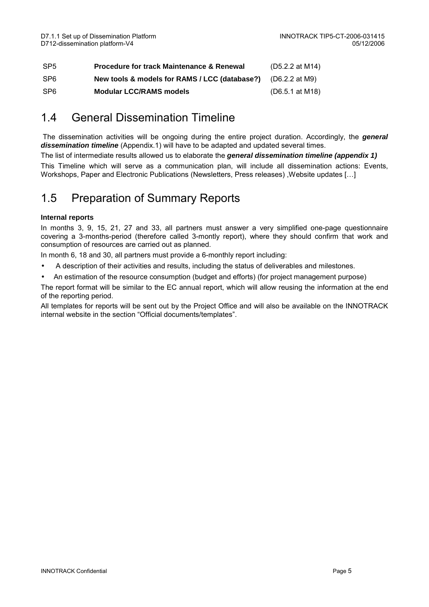| SP <sub>5</sub> | <b>Procedure for track Maintenance &amp; Renewal</b>         | (D5.2.2 at M14) |
|-----------------|--------------------------------------------------------------|-----------------|
| SP <sub>6</sub> | New tools & models for RAMS / LCC (database?) (D6.2.2 at M9) |                 |
| SP <sub>6</sub> | <b>Modular LCC/RAMS models</b>                               | (D6.5.1 at M18) |

## 1.4 General Dissemination Timeline

 The dissemination activities will be ongoing during the entire project duration. Accordingly, the **general dissemination timeline** (Appendix.1) will have to be adapted and updated several times.

The list of intermediate results allowed us to elaborate the **general dissemination timeline (appendix 1)**  This Timeline which will serve as a communication plan, will include all dissemination actions: Events, Workshops, Paper and Electronic Publications (Newsletters, Press releases) ,Website updates […]

## 1.5 Preparation of Summary Reports

#### **Internal reports**

In months 3, 9, 15, 21, 27 and 33, all partners must answer a very simplified one-page questionnaire covering a 3-months-period (therefore called 3-montly report), where they should confirm that work and consumption of resources are carried out as planned.

In month 6, 18 and 30, all partners must provide a 6-monthly report including:

- A description of their activities and results, including the status of deliverables and milestones.
- An estimation of the resource consumption (budget and efforts) (for project management purpose)

The report format will be similar to the EC annual report, which will allow reusing the information at the end of the reporting period.

All templates for reports will be sent out by the Project Office and will also be available on the INNOTRACK internal website in the section "Official documents/templates".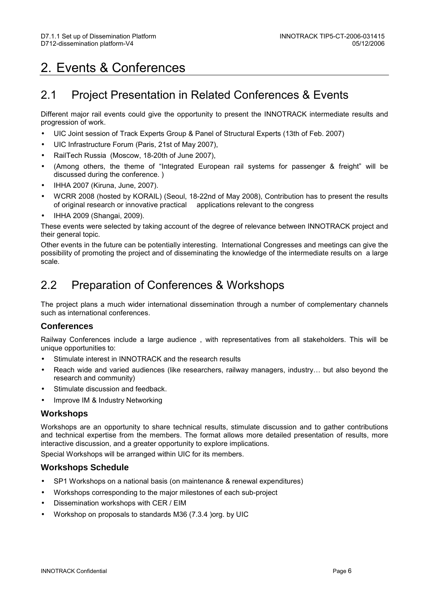# 2. Events & Conferences

### 2.1 Project Presentation in Related Conferences & Events

Different major rail events could give the opportunity to present the INNOTRACK intermediate results and progression of work.

- UIC Joint session of Track Experts Group & Panel of Structural Experts (13th of Feb. 2007)
- UIC Infrastructure Forum (Paris, 21st of May 2007),
- RailTech Russia (Moscow, 18-20th of June 2007),
- (Among others, the theme of "Integrated European rail systems for passenger & freight" will be discussed during the conference. )
- IHHA 2007 (Kiruna, June, 2007).
- WCRR 2008 (hosted by KORAIL) (Seoul, 18-22nd of May 2008), Contribution has to present the results of original research or innovative practical
- IHHA 2009 (Shangai, 2009).

These events were selected by taking account of the degree of relevance between INNOTRACK project and their general topic.

Other events in the future can be potentially interesting. International Congresses and meetings can give the possibility of promoting the project and of disseminating the knowledge of the intermediate results on a large scale.

### 2.2 Preparation of Conferences & Workshops

The project plans a much wider international dissemination through a number of complementary channels such as international conferences.

### **Conferences**

Railway Conferences include a large audience , with representatives from all stakeholders. This will be unique opportunities to:

- Stimulate interest in INNOTRACK and the research results
- Reach wide and varied audiences (like researchers, railway managers, industry… but also beyond the research and community)
- Stimulate discussion and feedback.
- Improve IM & Industry Networking

### **Workshops**

Workshops are an opportunity to share technical results, stimulate discussion and to gather contributions and technical expertise from the members. The format allows more detailed presentation of results, more interactive discussion, and a greater opportunity to explore implications.

Special Workshops will be arranged within UIC for its members.

#### **Workshops Schedule**

- SP1 Workshops on a national basis (on maintenance & renewal expenditures)
- Workshops corresponding to the major milestones of each sub-project
- Dissemination workshops with CER / EIM
- Workshop on proposals to standards M36 (7.3.4 )org. by UIC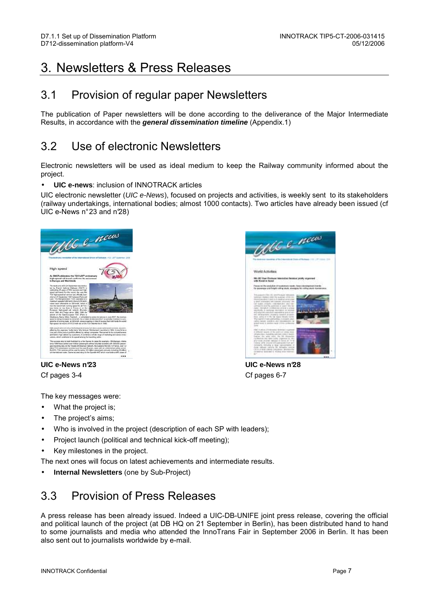## 3. Newsletters & Press Releases

### 3.1 Provision of regular paper Newsletters

The publication of Paper newsletters will be done according to the deliverance of the Major Intermediate Results, in accordance with the **general dissemination timeline** (Appendix.1)

### 3.2 Use of electronic Newsletters

Electronic newsletters will be used as ideal medium to keep the Railway community informed about the project.

#### • **UIC e-news**: inclusion of INNOTRACK articles

UIC electronic newsletter (UIC e-News), focused on projects and activities, is weekly sent to its stakeholders (railway undertakings, international bodies; almost 1000 contacts). Two articles have already been issued (cf UIC e-News n° 23 and n°28)



UCC e-news World Activities **Big US Start Product** 

Cf pages 3-4 Cf pages 6-7

**UIC e-News n°23 UIC e-News n°28**

The key messages were:

- What the project is;
- The project's aims;
- Who is involved in the project (description of each SP with leaders);
- Project launch (political and technical kick-off meeting);
- Key milestones in the project.

The next ones will focus on latest achievements and intermediate results.

• **Internal Newsletters** (one by Sub-Project)

## 3.3 Provision of Press Releases

A press release has been already issued. Indeed a UIC-DB-UNIFE joint press release, covering the official and political launch of the project (at DB HQ on 21 September in Berlin), has been distributed hand to hand to some journalists and media who attended the InnoTrans Fair in September 2006 in Berlin. It has been also sent out to journalists worldwide by e-mail.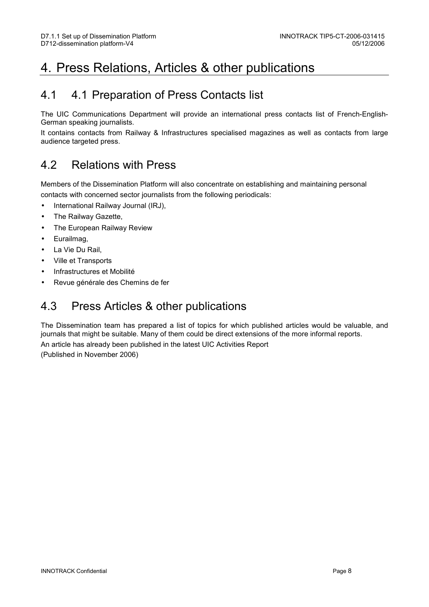## 4. Press Relations, Articles & other publications

### 4.1 4.1 Preparation of Press Contacts list

The UIC Communications Department will provide an international press contacts list of French-English-German speaking journalists.

It contains contacts from Railway & Infrastructures specialised magazines as well as contacts from large audience targeted press.

### 4.2 Relations with Press

Members of the Dissemination Platform will also concentrate on establishing and maintaining personal contacts with concerned sector journalists from the following periodicals:

- International Railway Journal (IRJ),
- The Railway Gazette,
- The European Railway Review
- Eurailmag,
- La Vie Du Rail,
- Ville et Transports
- Infrastructures et Mobilité
- Revue générale des Chemins de fer

### 4.3 Press Articles & other publications

The Dissemination team has prepared a list of topics for which published articles would be valuable, and journals that might be suitable. Many of them could be direct extensions of the more informal reports. An article has already been published in the latest UIC Activities Report (Published in November 2006)

INNOTRACK Confidential Page 8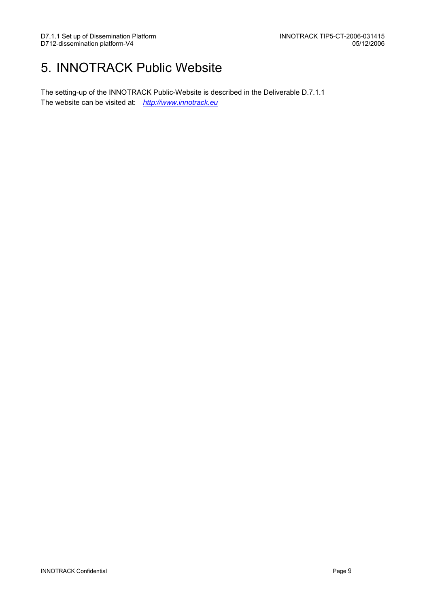## 5. INNOTRACK Public Website

The setting-up of the INNOTRACK Public-Website is described in the Deliverable D.7.1.1 The website can be visited at: http://www.innotrack.eu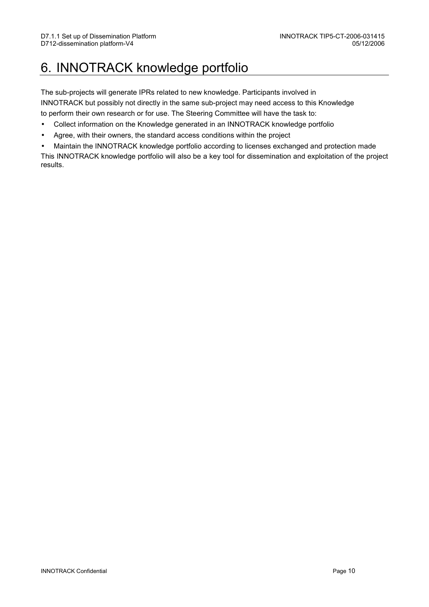## 6. INNOTRACK knowledge portfolio

The sub-projects will generate IPRs related to new knowledge. Participants involved in INNOTRACK but possibly not directly in the same sub-project may need access to this Knowledge to perform their own research or for use. The Steering Committee will have the task to:

- Collect information on the Knowledge generated in an INNOTRACK knowledge portfolio
- Agree, with their owners, the standard access conditions within the project
- Maintain the INNOTRACK knowledge portfolio according to licenses exchanged and protection made

This INNOTRACK knowledge portfolio will also be a key tool for dissemination and exploitation of the project results.